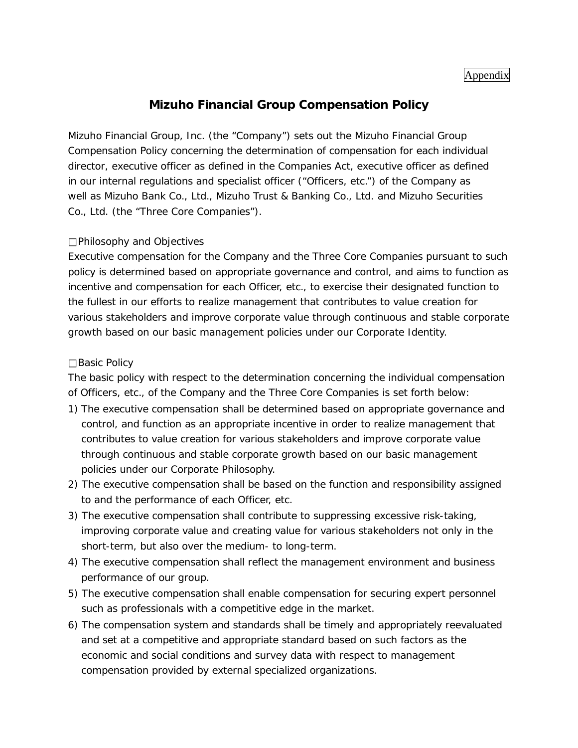## Appendix

## **Mizuho Financial Group Compensation Policy**

Mizuho Financial Group, Inc. (the "Company") sets out the Mizuho Financial Group Compensation Policy concerning the determination of compensation for each individual director, executive officer as defined in the Companies Act, executive officer as defined in our internal regulations and specialist officer ("Officers, etc.") of the Company as well as Mizuho Bank Co., Ltd., Mizuho Trust & Banking Co., Ltd. and Mizuho Securities Co., Ltd. (the "Three Core Companies").

## Philosophy and Objectives

Executive compensation for the Company and the Three Core Companies pursuant to such policy is determined based on appropriate governance and control, and aims to function as incentive and compensation for each Officer, etc., to exercise their designated function to the fullest in our efforts to realize management that contributes to value creation for various stakeholders and improve corporate value through continuous and stable corporate growth based on our basic management policies under our Corporate Identity.

## Basic Policy

The basic policy with respect to the determination concerning the individual compensation of Officers, etc., of the Company and the Three Core Companies is set forth below:

- 1) The executive compensation shall be determined based on appropriate governance and control, and function as an appropriate incentive in order to realize management that contributes to value creation for various stakeholders and improve corporate value through continuous and stable corporate growth based on our basic management policies under our Corporate Philosophy.
- 2) The executive compensation shall be based on the function and responsibility assigned to and the performance of each Officer, etc.
- 3) The executive compensation shall contribute to suppressing excessive risk-taking, improving corporate value and creating value for various stakeholders not only in the short-term, but also over the medium- to long-term.
- 4) The executive compensation shall reflect the management environment and business performance of our group.
- 5) The executive compensation shall enable compensation for securing expert personnel such as professionals with a competitive edge in the market.
- 6) The compensation system and standards shall be timely and appropriately reevaluated and set at a competitive and appropriate standard based on such factors as the economic and social conditions and survey data with respect to management compensation provided by external specialized organizations.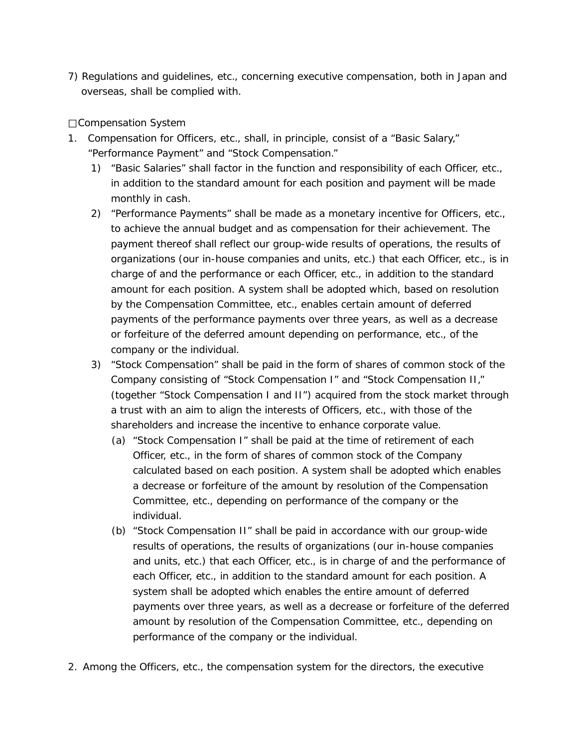7) Regulations and guidelines, etc., concerning executive compensation, both in Japan and overseas, shall be complied with.

Compensation System

- 1. Compensation for Officers, etc., shall, in principle, consist of a "Basic Salary," "Performance Payment" and "Stock Compensation."
	- 1) "Basic Salaries" shall factor in the function and responsibility of each Officer, etc., in addition to the standard amount for each position and payment will be made monthly in cash.
	- 2) "Performance Payments" shall be made as a monetary incentive for Officers, etc., to achieve the annual budget and as compensation for their achievement. The payment thereof shall reflect our group-wide results of operations, the results of organizations (our in-house companies and units, etc.) that each Officer, etc., is in charge of and the performance or each Officer, etc., in addition to the standard amount for each position. A system shall be adopted which, based on resolution by the Compensation Committee, etc., enables certain amount of deferred payments of the performance payments over three years, as well as a decrease or forfeiture of the deferred amount depending on performance, etc., of the company or the individual.
	- 3) "Stock Compensation" shall be paid in the form of shares of common stock of the Company consisting of "Stock Compensation I" and "Stock Compensation II," (together "Stock Compensation I and II") acquired from the stock market through a trust with an aim to align the interests of Officers, etc., with those of the shareholders and increase the incentive to enhance corporate value.
		- (a) "Stock Compensation I" shall be paid at the time of retirement of each Officer, etc., in the form of shares of common stock of the Company calculated based on each position. A system shall be adopted which enables a decrease or forfeiture of the amount by resolution of the Compensation Committee, etc., depending on performance of the company or the individual.
		- (b) "Stock Compensation II" shall be paid in accordance with our group-wide results of operations, the results of organizations (our in-house companies and units, etc.) that each Officer, etc., is in charge of and the performance of each Officer, etc., in addition to the standard amount for each position. A system shall be adopted which enables the entire amount of deferred payments over three years, as well as a decrease or forfeiture of the deferred amount by resolution of the Compensation Committee, etc., depending on performance of the company or the individual.
- 2. Among the Officers, etc., the compensation system for the directors, the executive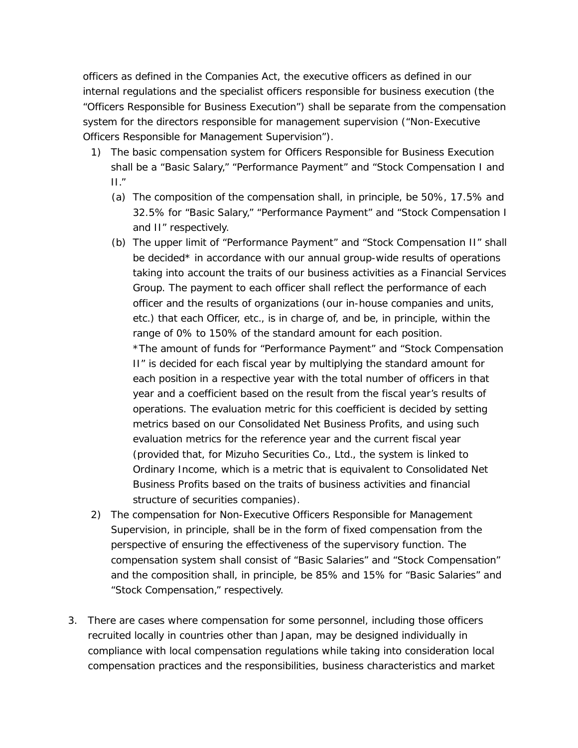officers as defined in the Companies Act, the executive officers as defined in our internal regulations and the specialist officers responsible for business execution (the "Officers Responsible for Business Execution") shall be separate from the compensation system for the directors responsible for management supervision ("Non-Executive Officers Responsible for Management Supervision").

- 1) The basic compensation system for Officers Responsible for Business Execution shall be a "Basic Salary," "Performance Payment" and "Stock Compensation I and II."
	- (a) The composition of the compensation shall, in principle, be 50%, 17.5% and 32.5% for "Basic Salary," "Performance Payment" and "Stock Compensation I and II" respectively.
	- (b) The upper limit of "Performance Payment" and "Stock Compensation II" shall be decided\* in accordance with our annual group-wide results of operations taking into account the traits of our business activities as a Financial Services Group. The payment to each officer shall reflect the performance of each officer and the results of organizations (our in-house companies and units, etc.) that each Officer, etc., is in charge of, and be, in principle, within the range of 0% to 150% of the standard amount for each position. \*The amount of funds for "Performance Payment" and "Stock Compensation II" is decided for each fiscal year by multiplying the standard amount for each position in a respective year with the total number of officers in that year and a coefficient based on the result from the fiscal year's results of operations. The evaluation metric for this coefficient is decided by setting metrics based on our Consolidated Net Business Profits, and using such evaluation metrics for the reference year and the current fiscal year (provided that, for Mizuho Securities Co., Ltd., the system is linked to Ordinary Income, which is a metric that is equivalent to Consolidated Net Business Profits based on the traits of business activities and financial structure of securities companies).
- 2) The compensation for Non-Executive Officers Responsible for Management Supervision, in principle, shall be in the form of fixed compensation from the perspective of ensuring the effectiveness of the supervisory function. The compensation system shall consist of "Basic Salaries" and "Stock Compensation" and the composition shall, in principle, be 85% and 15% for "Basic Salaries" and "Stock Compensation," respectively.
- 3. There are cases where compensation for some personnel, including those officers recruited locally in countries other than Japan, may be designed individually in compliance with local compensation regulations while taking into consideration local compensation practices and the responsibilities, business characteristics and market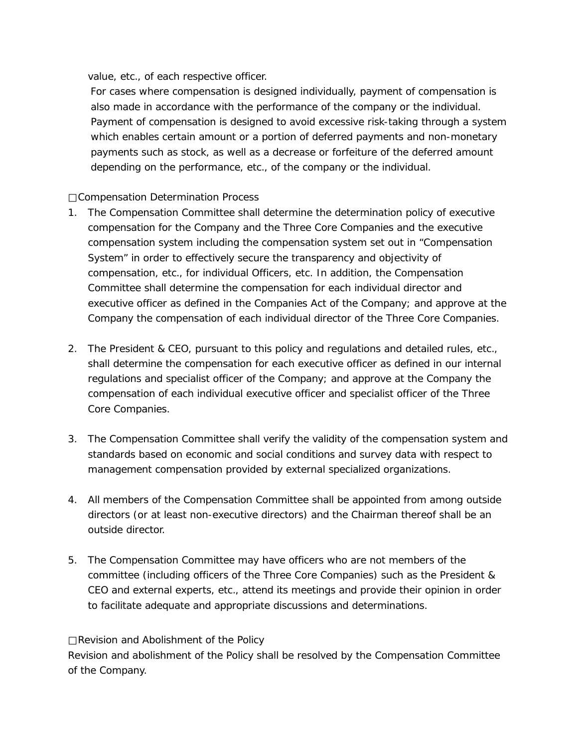value, etc., of each respective officer.

For cases where compensation is designed individually, payment of compensation is also made in accordance with the performance of the company or the individual. Payment of compensation is designed to avoid excessive risk-taking through a system which enables certain amount or a portion of deferred payments and non-monetary payments such as stock, as well as a decrease or forfeiture of the deferred amount depending on the performance, etc., of the company or the individual.

Compensation Determination Process

- 1. The Compensation Committee shall determine the determination policy of executive compensation for the Company and the Three Core Companies and the executive compensation system including the compensation system set out in "Compensation System" in order to effectively secure the transparency and objectivity of compensation, etc., for individual Officers, etc. In addition, the Compensation Committee shall determine the compensation for each individual director and executive officer as defined in the Companies Act of the Company; and approve at the Company the compensation of each individual director of the Three Core Companies.
- 2. The President & CEO, pursuant to this policy and regulations and detailed rules, etc., shall determine the compensation for each executive officer as defined in our internal regulations and specialist officer of the Company; and approve at the Company the compensation of each individual executive officer and specialist officer of the Three Core Companies.
- 3. The Compensation Committee shall verify the validity of the compensation system and standards based on economic and social conditions and survey data with respect to management compensation provided by external specialized organizations.
- 4. All members of the Compensation Committee shall be appointed from among outside directors (or at least non-executive directors) and the Chairman thereof shall be an outside director.
- 5. The Compensation Committee may have officers who are not members of the committee (including officers of the Three Core Companies) such as the President & CEO and external experts, etc., attend its meetings and provide their opinion in order to facilitate adequate and appropriate discussions and determinations.

Revision and Abolishment of the Policy Revision and abolishment of the Policy shall be resolved by the Compensation Committee of the Company.